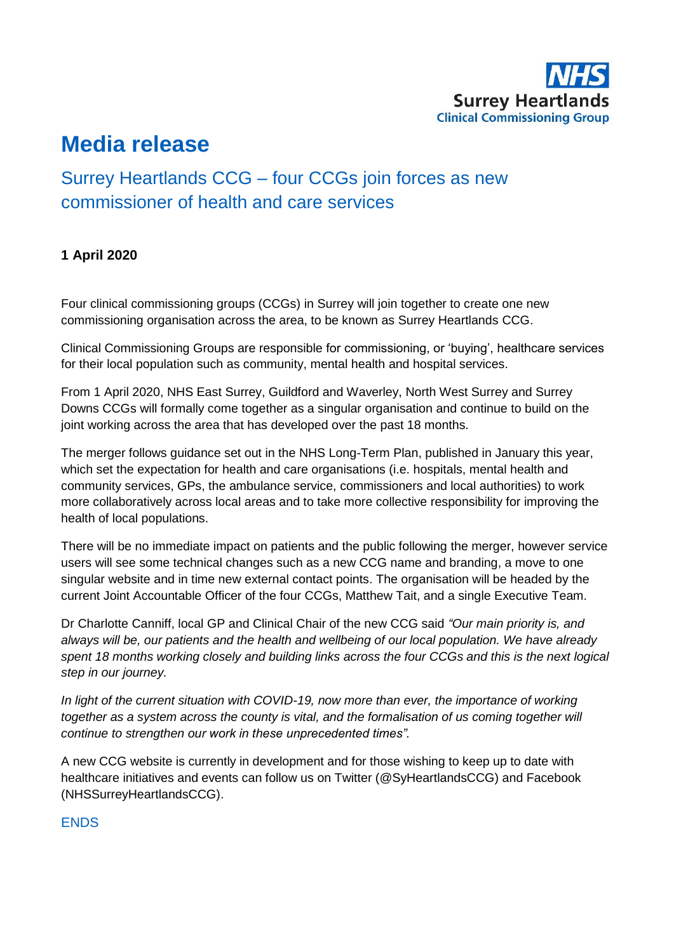

# **Media release**

# Surrey Heartlands CCG – four CCGs join forces as new commissioner of health and care services

## **1 April 2020**

Four clinical commissioning groups (CCGs) in Surrey will join together to create one new commissioning organisation across the area, to be known as Surrey Heartlands CCG.

Clinical Commissioning Groups are responsible for commissioning, or 'buying', healthcare services for their local population such as community, mental health and hospital services.

From 1 April 2020, NHS East Surrey, Guildford and Waverley, North West Surrey and Surrey Downs CCGs will formally come together as a singular organisation and continue to build on the joint working across the area that has developed over the past 18 months.

The merger follows guidance set out in the NHS Long-Term Plan, published in January this year, which set the expectation for health and care organisations (i.e. hospitals, mental health and community services, GPs, the ambulance service, commissioners and local authorities) to work more collaboratively across local areas and to take more collective responsibility for improving the health of local populations.

There will be no immediate impact on patients and the public following the merger, however service users will see some technical changes such as a new CCG name and branding, a move to one singular website and in time new external contact points. The organisation will be headed by the current Joint Accountable Officer of the four CCGs, Matthew Tait, and a single Executive Team.

Dr Charlotte Canniff, local GP and Clinical Chair of the new CCG said *"Our main priority is, and always will be, our patients and the health and wellbeing of our local population. We have already spent 18 months working closely and building links across the four CCGs and this is the next logical step in our journey.*

*In light of the current situation with COVID-19, now more than ever, the importance of working together as a system across the county is vital, and the formalisation of us coming together will continue to strengthen our work in these unprecedented times".*

A new CCG website is currently in development and for those wishing to keep up to date with healthcare initiatives and events can follow us on Twitter (@SyHeartlandsCCG) and Facebook (NHSSurreyHeartlandsCCG).

### **FNDS**